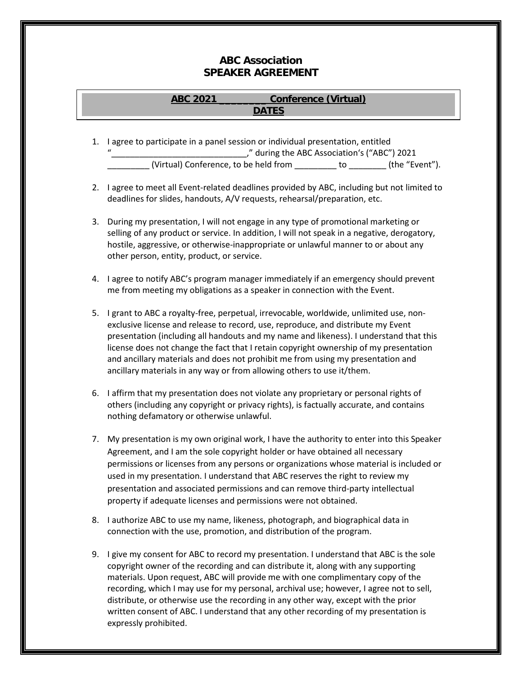## **ABC Association SPEAKER AGREEMENT**

## **ABC 2021 \_\_\_\_\_\_\_\_ Conference (Virtual) DATES**

- 1. I agree to participate in a panel session or individual presentation, entitled "\_\_\_\_\_\_\_\_\_\_\_\_\_\_\_\_\_\_\_\_\_\_\_\_\_\_\_\_\_," during the ABC Association's ("ABC") 2021 (Virtual) Conference, to be held from \_\_\_\_\_\_\_\_ to \_\_\_\_\_\_\_\_ (the "Event").
- 2. I agree to meet all Event-related deadlines provided by ABC, including but not limited to deadlines for slides, handouts, A/V requests, rehearsal/preparation, etc.
- 3. During my presentation, I will not engage in any type of promotional marketing or selling of any product or service. In addition, I will not speak in a negative, derogatory, hostile, aggressive, or otherwise-inappropriate or unlawful manner to or about any other person, entity, product, or service.
- 4. I agree to notify ABC's program manager immediately if an emergency should prevent me from meeting my obligations as a speaker in connection with the Event.
- 5. I grant to ABC a royalty-free, perpetual, irrevocable, worldwide, unlimited use, nonexclusive license and release to record, use, reproduce, and distribute my Event presentation (including all handouts and my name and likeness). I understand that this license does not change the fact that I retain copyright ownership of my presentation and ancillary materials and does not prohibit me from using my presentation and ancillary materials in any way or from allowing others to use it/them.
- 6. I affirm that my presentation does not violate any proprietary or personal rights of others (including any copyright or privacy rights), is factually accurate, and contains nothing defamatory or otherwise unlawful.
- 7. My presentation is my own original work, I have the authority to enter into this Speaker Agreement, and I am the sole copyright holder or have obtained all necessary permissions or licenses from any persons or organizations whose material is included or used in my presentation. I understand that ABC reserves the right to review my presentation and associated permissions and can remove third-party intellectual property if adequate licenses and permissions were not obtained.
- 8. I authorize ABC to use my name, likeness, photograph, and biographical data in connection with the use, promotion, and distribution of the program.
- 9. I give my consent for ABC to record my presentation. I understand that ABC is the sole copyright owner of the recording and can distribute it, along with any supporting materials. Upon request, ABC will provide me with one complimentary copy of the recording, which I may use for my personal, archival use; however, I agree not to sell, distribute, or otherwise use the recording in any other way, except with the prior written consent of ABC. I understand that any other recording of my presentation is expressly prohibited.